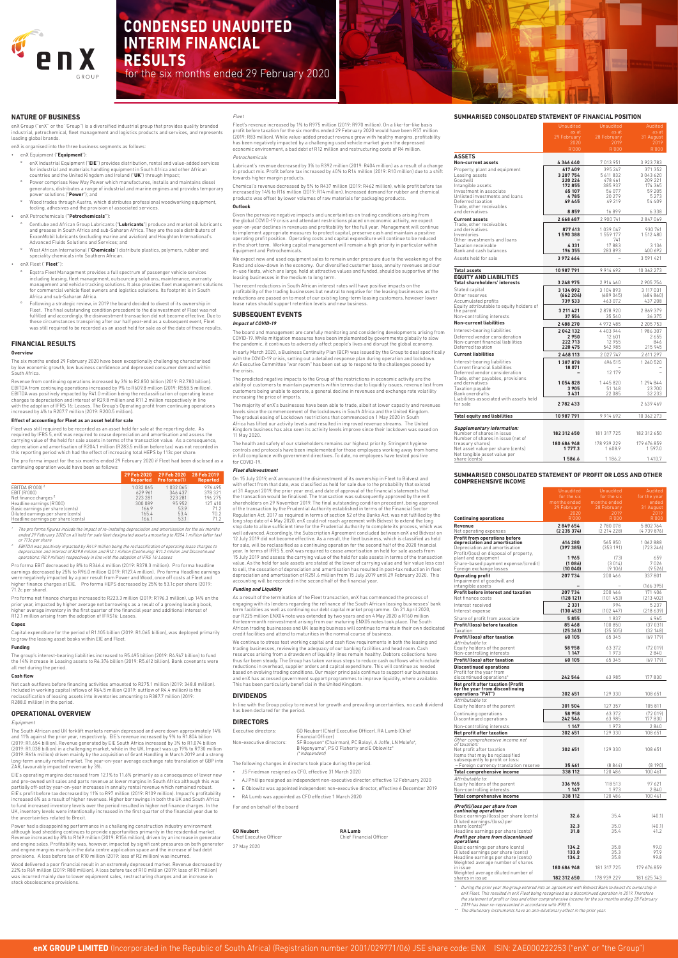## **SUMMARISED CONSOLIDATED STATEMENT OF FINANCIAL POSITION**

|                                                                                                                                                                                                                   | as at<br>29 February<br>2020<br>R'000                                         | as at<br>28 February<br>2019<br>R'000                                            | as at<br>31 August<br>2019<br>R'000                                                |
|-------------------------------------------------------------------------------------------------------------------------------------------------------------------------------------------------------------------|-------------------------------------------------------------------------------|----------------------------------------------------------------------------------|------------------------------------------------------------------------------------|
| <b>ASSETS</b>                                                                                                                                                                                                     |                                                                               |                                                                                  |                                                                                    |
| <b>Non-current assets</b>                                                                                                                                                                                         | 4346440                                                                       | 7013951                                                                          | 3923783                                                                            |
| Property, plant and equipment<br>Leasing assets<br>Goodwill<br>Intangible assets<br>Investment in associate<br>Unlisted investments and loans<br>Deferred taxation<br>Trade, other receivables<br>and derivatives | 617 409<br>3 207 754<br>220 226<br>172855<br>65 107<br>4785<br>49 445<br>8859 | 395 247<br>5 611 832<br>478 461<br>385937<br>56 077<br>20 279<br>49 219<br>16899 | 371 352<br>3043620<br>209 221<br>174 365<br>59 205<br>5 2 7 3<br>54 409<br>6 3 3 8 |
| <b>Current assets</b>                                                                                                                                                                                             | 2668687                                                                       | 2 900 741                                                                        | 2847069                                                                            |
| Trade, other receivables<br>and derivatives<br>Inventories<br>Other investments and loans<br>Taxation receivable                                                                                                  | 877 613<br>1590388<br>4331                                                    | 1039047<br>1559177<br>741<br>17883                                               | 930 761<br>1512480<br>3 1 3 6                                                      |
| Bank and cash balances                                                                                                                                                                                            | 196 355                                                                       | 283 893                                                                          | 400 692                                                                            |
| Assets held for sale                                                                                                                                                                                              | 3972664                                                                       |                                                                                  | 3 591 421                                                                          |
| <b>Total assets</b>                                                                                                                                                                                               | 10 987 791                                                                    | 9914692                                                                          | 10 362 273                                                                         |
| <b>EQUITY AND LIABILITIES</b><br><b>Total shareholders' interests</b>                                                                                                                                             |                                                                               |                                                                                  |                                                                                    |
| Stated capital                                                                                                                                                                                                    | 3 248 975<br>3 134 092                                                        | 2914460<br>3 104 893                                                             | 2 905 754<br>3 117 0 31                                                            |
| Other reserves<br>Accumulated profits<br>Equity attributable to equity holders of                                                                                                                                 | (662204)<br>739 533                                                           | (689045)<br>463 072                                                              | (684860)<br>437 208                                                                |
| the parent<br>Non-controlling interests                                                                                                                                                                           | 3 211 4 21<br>37 554                                                          | 2878920<br>35 540                                                                | 2869379<br>36375                                                                   |
| <b>Non-current liabilities</b>                                                                                                                                                                                    | 2488270                                                                       | 4972485                                                                          | 2 2 0 5 7 5 3                                                                      |
| Interest-bearing liabilities<br>Deferred vendor consideration<br>Non-current financial liabilities<br>Deferred taxation                                                                                           | 2042132<br>2950<br>222 713<br>220 475                                         | 4403944<br>12 601<br>12 955<br>542 985                                           | 1986307<br>2655<br>846<br>215 945                                                  |
| <b>Current liabilities</b>                                                                                                                                                                                        | 2 468 113                                                                     | 2 0 2 7 7 4 7                                                                    | 2 611 297                                                                          |
| Interest-bearing liabilities<br>Current financial liabilities<br>Deferred vendor consideration<br>Trade, other payables, provisions                                                                               | 1387878<br>18 0 71                                                            | 496 515<br>12 179                                                                | 1 260 520                                                                          |
| and derivatives<br>Taxation payable<br>Bank overdrafts                                                                                                                                                            | 1054828<br>3905<br>3431                                                       | 1445820<br>51 148<br>22 085                                                      | 1 2 9 4 8 4 4<br>23700<br>32 233                                                   |
| Liabilities associated with assets held<br>for sale                                                                                                                                                               | 2782433                                                                       |                                                                                  | 2639469                                                                            |
| <b>Total equity and liabilities</b>                                                                                                                                                                               | 10 987 791                                                                    | 9914692                                                                          | 10 362 273                                                                         |
| <b>Supplementary information:</b><br>Number of shares in issue                                                                                                                                                    | 182 312 650                                                                   | 181 317 725                                                                      | 182 312 650                                                                        |
| Number of shares in issue (net of<br>treasury shares)<br>Net asset value per share (cents)<br>Net tangible asset value per                                                                                        | 180 686 948<br>1 777.3                                                        | 178 939 229<br>1608.9                                                            | 179 676 859<br>1597.0                                                              |

**SUMMARISED CONSOLIDATED STATEMENT OF PROFIT OR LOSS AND OTHER COMPREHENSIVE INCOME** 

share (cents) **1586.6** 1186.2 1410.7

enX Group ("enX" or the "Group") is a diversified industrial group that provides quality branded industrial, petrochemical, fleet management and logistics products and services, and represents leading global brands.

- enX Industrial Equipment ("EIE") provides distribution, rental and value-added services for industrial and materials handling equipment in South Africa and other African countries and the United Kingdom and Ireland ("**UK**") through Impact;
- Power comprises New Way Power which manufactures, installs and maintains diesel generators, distributes a range of industrial and marine engines and provides temporary power solutions ("**Power**"); and
- Wood trades through Austro, which distributes professional woodworking equipment, tooling, adhesives and the provision of associated services.
- enX Petrochemicals ('**'Petrochemicals''**):
	- º Centlube and African Group Lubricants ("**Lubricants**") produce and market oil lubricants and greases in South Africa and sub-Saharan Africa. They are the sole distributors of ExxonMobil lubricants (excluding marine and aviation) and Houghton International's Advanced Fluids Solutions and Services; and
- West African International ("Chemicals") distribute plastics, polymers, rubber and speciality chemicals into Southern African.

|                                                                       | <u>Un</u> audited           | <u>Unaudited</u>            | <u>Aud</u> ited        |
|-----------------------------------------------------------------------|-----------------------------|-----------------------------|------------------------|
|                                                                       | for the six<br>months ended | for the six<br>months ended | for the year<br>ended  |
|                                                                       | 29 February                 | 28 February                 | 31 August              |
|                                                                       | 2020                        | 2019                        | 2019                   |
| <b>Continuing operations</b>                                          | R'000                       | R'000                       | R'000                  |
| Revenue                                                               | 2849654<br>(2235374)        | 2780078<br>(2 214 228)      | 5 802 764<br>(4739876) |
| Net operating expenses                                                |                             |                             |                        |
| <b>Profit from operations before</b><br>depreciation and amortisation | 614 280                     | 565850                      | 1062888                |
| Depreciation and amortisation                                         | (397385)                    | (353191)                    | (723 246)              |
| Profit/(loss) on disposal of property,<br>plant and equipment         | 1965                        | (73)                        | 659                    |
| Share-based payment expense/(credit)                                  | (1086)                      | (3014)                      | 7026                   |
| Foreign exchange losses                                               | (10040)                     | (9106)                      | (9 526)                |
| <b>Operating profit</b>                                               | 207734                      | 200 466                     | 337801                 |
| Impairment of goodwill and<br>intangible assets                       |                             |                             | (166 395)              |
| <b>Profit before interest and taxation</b>                            | 207734                      | 200 466                     | 171 406                |
| Net finance costs                                                     | (128121)                    | (101453)                    | (213 402)              |
| Interest received                                                     | 2331                        | 994                         | 5 2 3 7                |
| Interest expense                                                      | (130 452)                   | (102447)                    | (218639)               |
| Share of profit from associate                                        | 5855                        | 1837                        | 4965                   |
| <b>Profit/(loss) before taxation</b>                                  | 85468                       | 100 850                     | (37031)                |
| Taxation                                                              | (25363)                     | (35505)                     | (32148)                |
| Profit/(loss) after taxation<br>Attributable to:                      | 60 105                      | 65 345                      | (69179)                |
| Equity holders of the parent                                          | 58 958                      | 63372                       | (72019)                |
| Non-controlling interests                                             | 1 1 4 7                     | 1973                        | 2840                   |
| Profit/(loss) after taxation                                          | 60 105                      | 65 345                      | (69179)                |
| <b>Discontinued operations</b>                                        |                             |                             |                        |
| Profit for the year from<br>discontinued operations'                  | 242546                      | 63 985                      | 177830                 |
| <b>Net profit after taxation (Profit</b>                              |                             |                             |                        |
| for the year from discontinuing                                       |                             |                             |                        |
| operations "PAT")                                                     | 302 651                     | 129 330                     | 108 651                |
| Attributable to:<br>Equity holders of the parent                      | 301 504                     | 127 357                     | 105 811                |
|                                                                       | 58958                       | 63372                       | (72019)                |
| Continuing operations<br>Discontinued operations                      | 242546                      | 63 985                      | 177830                 |
| Non-controlling interests                                             | 1 1 4 7                     | 1973                        | 2840                   |
| Net profit after taxation                                             | 302 651                     | 129 330                     | 108 651                |
| Other comprehensive income net                                        |                             |                             |                        |
| of taxation:                                                          |                             |                             |                        |
| Net profit after taxation<br>Items that may be reclassified           | 302 651                     | 129 330                     | 108 651                |
| subsequently to profit or loss:                                       |                             |                             |                        |
| – Foreign currency translation reserve                                | 35 461                      | (8844)                      | (8190)                 |
| <b>Total comprehensive income</b>                                     | 338 112                     | 120 486                     | 100 461                |
| Attributable to:                                                      | 336 965                     | 118 513                     | 97621                  |
| Equity holders of the parent<br>Non-controlling interests             | 1 1 4 7                     | 1973                        | 2840                   |
| <b>Total comprehensive income</b>                                     | 338 112                     | 120 486                     | 100 461                |
|                                                                       |                             |                             |                        |
| (Profit)/loss per share from<br>continuing operations                 |                             |                             |                        |
| Basic earnings/(loss) per share (cents)                               | 32.6                        | 35.4                        | (40.1)                 |
| Diluted earnings/(loss) per                                           | 32.3                        | 35.0                        | (40.1)                 |
| share (cents)*<br>Headline earnings per share (cents)                 | 31.8                        | 35.4                        | 41.2                   |
| Profit per share from discontinued                                    |                             |                             |                        |
| operations<br>Basic earnings per share (cents)                        | 134.2                       | 35.8                        | 99.0                   |
| Diluted earnings per share (cents)                                    | 133.0                       | 35.3                        | 97.9                   |
| Headline earnings per share (cents)                                   | 134.2                       | 35.8                        | 99.8                   |
| Weighted average number of shares                                     | 180 686 948                 | 181 317 725                 | 179 676 859            |
| in issue<br>Weighted average diluted number of                        |                             |                             |                        |
| shares in issue                                                       | 182 312 650                 | 178 939 229                 | 181 625 743            |

2. EBITDA was positively impacted by R41.9 million being the reclassification of operating lease charges to depreciation and interest of R29.8 million and R12.1 million (Continuing: R11.2 million and Discontinued<br>operations: R0.9 million) respectively in line with the adoption of IFRS 16: Leases

> \* During the prior year the group entered into an agreement with Bidvest Bank to divest its ownership in enX Fleet. This resulted in enX Fleet being recognised as a discontinued operation in 2019. Therefore the statement of profit or loss and other comprehensive income for the six months ending 28 February 2019 has been re-represented in accordance with IFRS 5.

The dilutionary instruments have an anti-dilutionary effect in the prior year.

## **NATURE OF BUSINESS**

enX is organised into the three business segments as follows:

• enX Equipment ("**Equipment**"):

• enX Fleet (''**Fleet'**'):

- Eqstra Fleet Management provides a full spectrum of passenger vehicle services including leasing, fleet management, outsourcing solutions, maintenance, warranty management and vehicle tracking solutions. It also provides fleet management solutions for commercial vehicle fleet owners and logistics solutions. Its footprint is in South Africa and sub-Saharan Africa.
- Following a strategic review, in 2019 the board decided to divest of its ownership in Fleet. The final outstanding condition precedent to the disinvestment of Fleet was not fulfilled and accordingly, the disinvestment transaction did not become effective. Due to these circumstances transpiring after our half year-end as a subsequent event, Fleet was still required to be recorded as an asset held for sale as of the date of these results.

## **FINANCIAL RESULTS**

## **Overview**

The six months ended 29 February 2020 have been exceptionally challenging characterised by low economic growth, low business confidence and depressed consumer demand within South Africa.

with the COVID-19 crisis, setting out a detailed response plan during operation and lockdow An Executive Committee "war room" has been set up to respond to the challenges posed by the crisis.

Revenue from continuing operations increased by 3% to R2.850 billion (2019: R2.780 billion). EBITDA from continuing operations increased by 9% to R609.8 million (2019: R558.5 million). EBITDA was positively impacted by R41.0 million being the reclassification of operating lease charges to depreciation and interest of R29.8 million and R11.2 million respectively in line with the adoption of IFRS 16: Leases. The Group's Operating profit from continuing operations increased by 4% to R207.7 million (2019: R200.5 million).

### **Effect of accounting for Fleet as an asset held for sale**

Fleet was still required to be recorded as an asset held for sale at the reporting date. As required by IFRS 5, enX was required to cease depreciation and amortisation and assess the carrying value of the held for sale assets in terms of the transaction value. As a consequence,<br>depreciation and amortisation of R204.1 million (R283.5 million before tax) was not recorded in this reporting period which had the effect of increasing total HEPS by 113c per share.

The pro forma impact for the six months ended 29 February 2020 if Fleet had been disclosed as a continuing operation would have been as follows:

|                                     |           | 29 Feb 2020 29 Feb 2020<br><b>Reported</b> Proforma(1) | 28 Feb 2019<br><b>Reported</b> |
|-------------------------------------|-----------|--------------------------------------------------------|--------------------------------|
| EBITDA (R'000) <sup>2</sup>         | 1 032 065 | 1032065                                                | 976 495                        |
| EBIT (R'000)                        | 629961    | 346437                                                 | 378 321                        |
| Net finance charges <sup>2</sup>    | 223 281   | 223 281                                                | 196 275                        |
| Headline earnings (R'000)           | 300 089   | 95 952                                                 | 127 410                        |
| Basic earnings per share (cents)    | 166.9     | 53.9                                                   | 71.2                           |
| Diluted earnings per share (cents)  | 165.4     | 53.4                                                   | 70.2                           |
| Headline earnings per share (cents) | 166.1     | 53.1                                                   | 71.2                           |

The pro forma figures include the impact of re-instating depreciation and amortisation for the six month. ended 29 February 2020 on all held for sale fleet designated assets amounting to R204.1 million (after tax) occ.<br>113c per share

> We continue to stress test working capital and cash flow requirements in both the leasing and trading businesses, reviewing the adequacy of our banking facilities and head room. Cash resources arising from a drawdown of liquidity lines remain healthy. Debtors collections have thus far been steady. The Group has taken various steps to reduce cash outflows which include reductions in overhead, supplier orders and capital expenditure. This will continue as needed based on evolving trading conditions. Our major principals continue to support our businesses and enX has accessed government support programmes to improve liquidity, where available. This has been particularly beneficial in the United Kingdom.

Pro forma EBIT decreased by 8% to R346.4 million (2019: R378.3 million). Pro forma headline earnings decreased by 25% to R96.0 million (2019: R127.4 million). Pro forma Headline earnings were negatively impacted by a poor result from Power and Wood, once off costs at Fleet and higher finance charges at EIE. Pro forma HEPS decreased by 25% to 53.1c per share (2019: 71.2c per share).

Pro forma net finance charges increased to R223.3 million (2019: R196.3 million), up 14% on the prior year, impacted by higher average net borrowings as a result of a growing leasing book, higher average inventory in the first quarter of the financial year and additional interest of R12.1 million arising from the adoption of IFRS16: Leases.

## **Capex**

Capital expenditure for the period of R1.105 billion (2019: R1.065 billion), was deployed primarily to grow the leasing asset books within EIE and Fleet.

#### **Funding**

The group's interest-bearing liabilities increased to R5.495 billion (2019: R4.947 billion) to fund the 14% increase in Leasing assets to R6.376 billion (2019: R5.612 billion). Bank covenants were all met during the period.

## **Cash flow**

Net cash outflows before financing activities amounted to R275.1 million (2019: 348.8 million). Included in working capital inflows of R64.5 million (2019: outflow of R4.4 million) is the reclassification of leasing assets into inventories amounting to R387.7 million (2019: R288.0 million) in the period.

## **OPERATIONAL OVERVIEW**

Equipment

The South African and UK forklift markets remain depressed and were down approximately 14% and 11% against the prior year, respectively. EIE's revenue increased by 9% to R1.804 billion (2019: R1.654 billion). Revenue generated by EIE South Africa increased by 3% to R1.074 billion (2019: R1.038 billion) in a challenging market, while in the UK, Impact was up 19% to R730 million (2019: R616 million) driven mainly by the acquisition of Grant Handling in March 2019 and a strong long-term annuity rental market. The year-on-year average exchange rate translation of GBP into ZAR, favourably impacted revenue by 3%.

EIE's operating margins decreased from 12.1% to 11.6% primarily as a consequence of lower new and pre-owned unit sales and parts revenue at lower margins in South Africa although this was partially off-set by year-on-year increases in annuity rental revenue which remained robust. EIE's profit before tax decreased by 11% to R97 million (2019: R109 million). Impact's profitability increased 6% as a result of higher revenues. Higher borrowings in both the UK and South Africa to fund increased inventory levels over the period resulted in higher net finance charges. In the UK, inventory levels were intentionally increased in the first quarter of the financial year due to the uncertainties related to Brexit.

Power had a disappointing performance in a challenging construction industry environment although load shedding continues to provide opportunities primarily in the residential market. Revenue increased by 8% to R169 million (2019: R156 million), driven by an increase in generator and engine sales. Profitability was, however, impacted by significant pressures on both generator and engine margins mainly in the data centre application space and the increase of bad debt provisions. A loss before tax of R10 million (2019: loss of R2 million) was incurred.

Wood delivered a poor financial result in an extremely depressed market. Revenue decreased by 22% to R69 million (2019: R88 million). A loss before tax of R10 million (2019: loss of R1 million) was incurred mainly due to lower equipment sales, restructuring charges and an increase in stock obsolescence provisions.

## Fleet

Fleet's revenue increased by 1% to R975 million (2019: R970 million). On a like-for-like basis profit before taxation for the six months ended 29 February 2020 would have been R57 million (2019: R83 million). While value-added product revenue grew with healthy margins, profitability has been negatively impacted by a challenging used vehicle market given the depressed economic environment, a bad debt of R12 million and restructuring costs of R4 million.

## Petrochemicals

Lubricant's revenue decreased by 3% to R392 million (2019: R404 million) as a result of a change in product mix. Profit before tax increased by 40% to R14 million (2019: R10 million) due to a shift towards higher margin products.

Chemical's revenue decreased by 5% to R437 million (2019: R462 million), while profit before tax increased by 14% to R16 million (2019: R14 million). Increased demand for rubber and chemical products was offset by lower volumes of raw materials for packaging products.

#### **Outlook**

Given the pervasive negative impacts and uncertainties on trading conditions arising from the global COVID-19 crisis and attendant restrictions placed on economic activity, we expect year-on-year declines in revenues and profitability for the full year. Management will continue to implement appropriate measures to protect capital, preserve cash and maintain a positive operating profit position. Operating costs and capital expenditure will continue to be reduced in the short term. Working capital management will remain a high priority in particular within Equipment and Petrochemicals.

We expect new and used equipment sales to remain under pressure due to the weakening of the Rand and slow-down in the economy. Our diversified customer base, annuity revenues and our in-use fleets, which are large, held at attractive values and funded, should be supportive of the leasing businesses in the medium to long term.

The recent reductions in South African interest rates will have positive impacts on the profitability of the trading businesses but neutral to negative for the leasing businesses as the reductions are passed on to most of our existing long-term leasing customers, however lower lease rates should support retention levels and new business.

## **SUBSEQUENT EVENTS**

## **Impact of COVID-19**

The board and management are carefully monitoring and considering developments arising from COVID-19. While mitigation measures have been implemented by governments globally to slow the pandemic, it continues to adversely affect people's lives and disrupt the global economy. In early March 2020, a Business Continuity Plan (BCP) was issued by the Group to deal specifically

The predicted negative impacts to the Group of the restrictions in economic activity are the ability of customers to maintain payments within terms due to liquidity issues, revenue lost from customers being unable to operate, a general decline in revenues and exchange rate volatility increasing the price of imports.

The majority of enX's businesses have been able to trade, albeit at lower capacity and revenues levels since the commencement of the lockdowns in South Africa and the United Kingdom. The gradual easing of Lockdown restrictions that commenced on 1 May 2020 in South Africa has lifted our activity levels and resulted in improved revenue streams. The United Kingdom business has also seen its activity levels improve since their lockdown was eased on 11 May 2020.

The health and safety of our stakeholders remains our highest priority. Stringent hygiene controls and protocols have been implemented for those employees working away from home in full compliance with government directives. To date, no employees have tested positive for COVID-19.

### **Fleet disinvestment**

On 15 July 2019, enX announced the disinvestment of its ownership in Fleet to Bidvest and with effect from that date, was classified as held for sale due to the probability that existed at 31 August 2019, the prior year end, and date of approval of the financial statements that the transaction would be finalised. The transaction was subsequently approved by the enX shareholders on 29 November 2019. The final outstanding condition precedent, being approval of the transaction by the Prudential Authority established in terms of the Financial Sector Regulation Act, 2017 as required in terms of section 52 of the Banks Act, was not fulfilled by the long stop date of 4 May 2020. enX could not reach agreement with Bidvest to extend the long<br>stop date to allow sufficient time for the Prudential Authority to complete its process, which was well advanced. Accordingly, the Subscription Agreement concluded between enX and Bidvest on<br>12 July 2019 did not become effective. As a result, the fleet business, which is classified as held for sale, will be reclassified as a continuing operation for the second half of the 2020 financial year. In terms of IFRS 5, enX was required to cease amortisation on held for sale assets from 15 July 2019 and assess the carrying value of the held for sale assets in terms of the transaction value. As the held for sale assets are stated at the lower of carrying value and fair value less cost to sell, the cessation of depreciation and amortisation has resulted in post-tax reduction in fleet depreciation and amortisation of R251.6 million from 15 July 2019 until 29 February 2020. This accounting will be recorded in the second half of the financial year.

### **Funding and Liquidity**

As a result of the termination of the Fleet transaction, enX has commenced the process of engaging with its lenders regarding the refinance of the South African leasing businesses' bank term facilities as well as continuing our debt capital market programme. On 21 April 2020, our R225 million ENX04 note was extended by two years and on 4 May 2020 a R160 million thirteen-month reinvestment arising from our maturing ENX05 notes took place. The South African trading businesses and UK leasing business will continue to maintain their own dedicated credit facilities and attend to maturities in the normal course of business.

## **DIVIDENDS**

In line with the Group policy to reinvest for growth and prevailing uncertainties, no cash dividend has been declared for the period.

# **DIRECTORS**

Executive directors: GD Neubert (Chief Executive Officer), RA Lumb (Chief Financial Officer) Non-executive directors: SF Booysen\* (Chairman), PC Baloyi, A Joffe, LN Molefe\*, B Ngonyama\*, PS O'Flaherty and E Oblowitz\* (\* Independent)

The following changes in directors took place during the period.

- JS Friedman resigned as CFO, effective 31 March 2020
- AJ Phillips resigned as independent non-executive director, effective 12 February 2020
- E Oblowitz was appointed independent non-executive director, effective 6 December 2019
- RA Lumb was appointed as CFO effective 1 March 2020

For and on behalf of the board

**GD Neubert RA Lumb** Chief Executive Officer Chief Financial Officer

27 May 2020



# **CONDENSED UNAUDITED INTERIM FINANCIAL RESULTS**

for the six months ended 29 February 2020